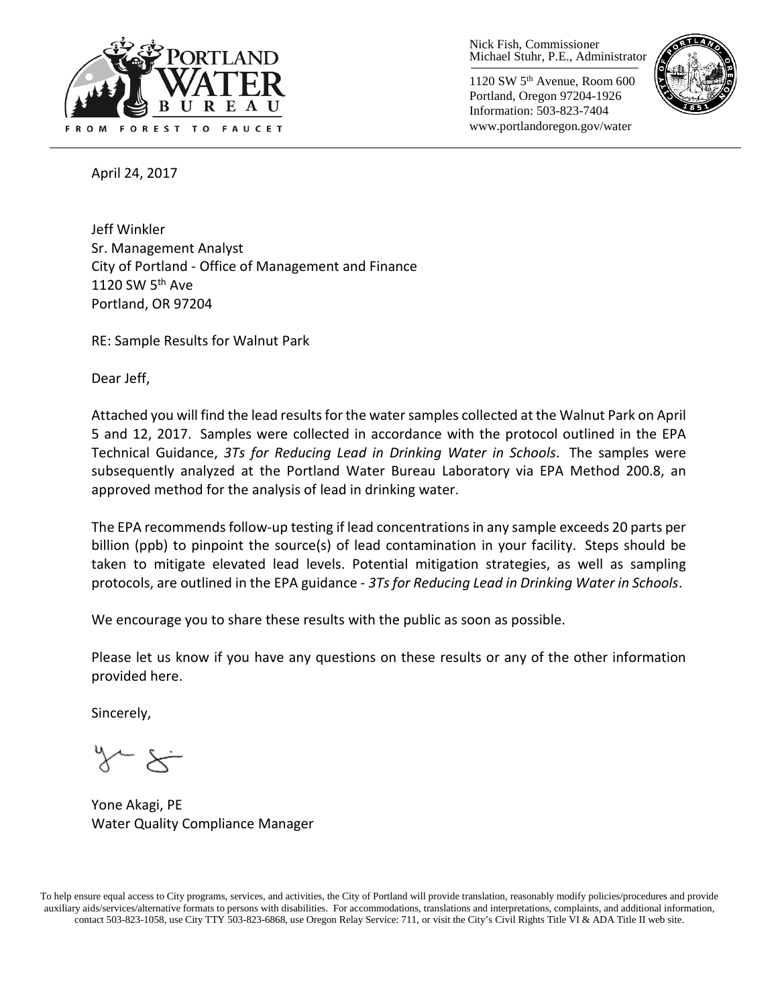

Nick Fish, Commissioner Michael Stuhr, P.E., Administrator

1120 SW 5th Avenue, Room 600 Portland, Oregon 97204-1926 Information: 503-823-7404 www.portlandoregon.gov/water



April 24, 2017

Jeff Winkler Sr. Management Analyst City of Portland - Office of Management and Finance 1120 SW  $5<sup>th</sup>$  Ave Portland, OR 97204

RE: Sample Results for Walnut Park

Dear Jeff,

Attached you will find the lead results for the water samples collected at the Walnut Park on April 5 and 12, 2017. Samples were collected in accordance with the protocol outlined in the EPA Technical Guidance, *3Ts for Reducing Lead in Drinking Water in Schools*. The samples were subsequently analyzed at the Portland Water Bureau Laboratory via EPA Method 200.8, an approved method for the analysis of lead in drinking water.

The EPA recommends follow-up testing if lead concentrations in any sample exceeds 20 parts per billion (ppb) to pinpoint the source(s) of lead contamination in your facility. Steps should be taken to mitigate elevated lead levels. Potential mitigation strategies, as well as sampling protocols, are outlined in the EPA guidance - *3Ts for Reducing Lead in Drinking Water in Schools*.

We encourage you to share these results with the public as soon as possible.

Please let us know if you have any questions on these results or any of the other information provided here.

Sincerely,

Yone Akagi, PE Water Quality Compliance Manager

To help ensure equal access to City programs, services, and activities, the City of Portland will provide translation, reasonably modify policies/procedures and provide auxiliary aids/services/alternative formats to persons with disabilities. For accommodations, translations and interpretations, complaints, and additional information, contact 503-823-1058, use City TTY 503-823-6868, use Oregon Relay Service: 711, or visi[t the City's Civil Rights Title VI & ADA Title II web site.](http://www.portlandoregon.gov/oehr/66458)